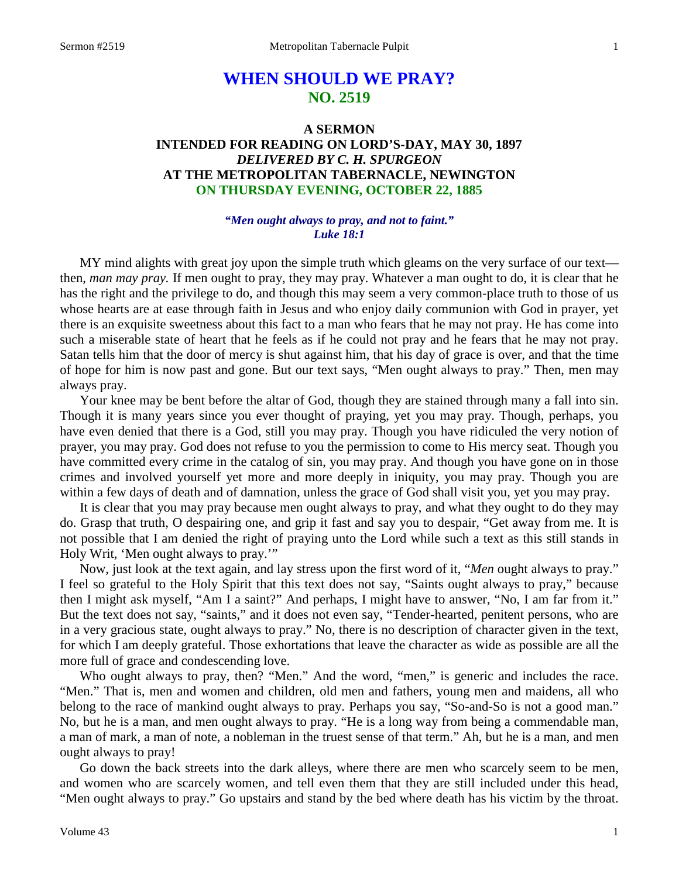# **WHEN SHOULD WE PRAY? NO. 2519**

# **A SERMON INTENDED FOR READING ON LORD'S-DAY, MAY 30, 1897** *DELIVERED BY C. H. SPURGEON* **AT THE METROPOLITAN TABERNACLE, NEWINGTON ON THURSDAY EVENING, OCTOBER 22, 1885**

## *"Men ought always to pray, and not to faint." Luke 18:1*

MY mind alights with great joy upon the simple truth which gleams on the very surface of our text then, *man may pray.* If men ought to pray, they may pray. Whatever a man ought to do, it is clear that he has the right and the privilege to do, and though this may seem a very common-place truth to those of us whose hearts are at ease through faith in Jesus and who enjoy daily communion with God in prayer, yet there is an exquisite sweetness about this fact to a man who fears that he may not pray. He has come into such a miserable state of heart that he feels as if he could not pray and he fears that he may not pray. Satan tells him that the door of mercy is shut against him, that his day of grace is over, and that the time of hope for him is now past and gone. But our text says, "Men ought always to pray." Then, men may always pray.

Your knee may be bent before the altar of God, though they are stained through many a fall into sin. Though it is many years since you ever thought of praying, yet you may pray. Though, perhaps, you have even denied that there is a God, still you may pray. Though you have ridiculed the very notion of prayer, you may pray. God does not refuse to you the permission to come to His mercy seat. Though you have committed every crime in the catalog of sin, you may pray. And though you have gone on in those crimes and involved yourself yet more and more deeply in iniquity, you may pray. Though you are within a few days of death and of damnation, unless the grace of God shall visit you, yet you may pray.

It is clear that you may pray because men ought always to pray, and what they ought to do they may do. Grasp that truth, O despairing one, and grip it fast and say you to despair, "Get away from me. It is not possible that I am denied the right of praying unto the Lord while such a text as this still stands in Holy Writ, 'Men ought always to pray.'"

Now, just look at the text again, and lay stress upon the first word of it, "*Men* ought always to pray." I feel so grateful to the Holy Spirit that this text does not say, "Saints ought always to pray," because then I might ask myself, "Am I a saint?" And perhaps, I might have to answer, "No, I am far from it." But the text does not say, "saints," and it does not even say, "Tender-hearted, penitent persons, who are in a very gracious state, ought always to pray." No, there is no description of character given in the text, for which I am deeply grateful. Those exhortations that leave the character as wide as possible are all the more full of grace and condescending love.

Who ought always to pray, then? "Men." And the word, "men," is generic and includes the race. "Men." That is, men and women and children, old men and fathers, young men and maidens, all who belong to the race of mankind ought always to pray. Perhaps you say, "So-and-So is not a good man." No, but he is a man, and men ought always to pray. "He is a long way from being a commendable man, a man of mark, a man of note, a nobleman in the truest sense of that term." Ah, but he is a man, and men ought always to pray!

Go down the back streets into the dark alleys, where there are men who scarcely seem to be men, and women who are scarcely women, and tell even them that they are still included under this head, "Men ought always to pray." Go upstairs and stand by the bed where death has his victim by the throat.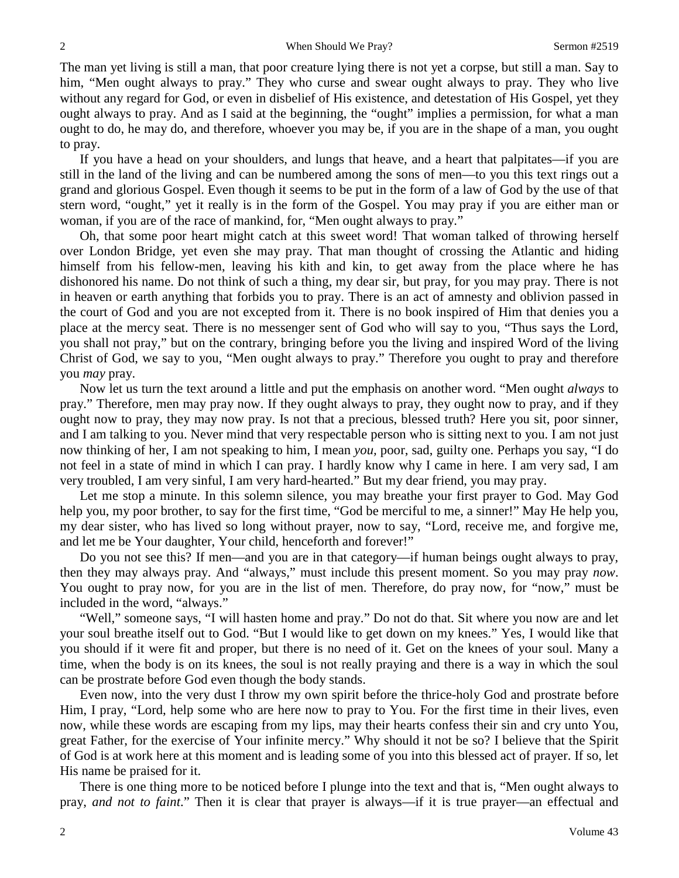The man yet living is still a man, that poor creature lying there is not yet a corpse, but still a man. Say to him, "Men ought always to pray." They who curse and swear ought always to pray. They who live without any regard for God, or even in disbelief of His existence, and detestation of His Gospel, yet they ought always to pray. And as I said at the beginning, the "ought" implies a permission*,* for what a man ought to do, he may do, and therefore, whoever you may be, if you are in the shape of a man, you ought to pray.

If you have a head on your shoulders, and lungs that heave, and a heart that palpitates—if you are still in the land of the living and can be numbered among the sons of men—to you this text rings out a grand and glorious Gospel. Even though it seems to be put in the form of a law of God by the use of that stern word, "ought," yet it really is in the form of the Gospel. You may pray if you are either man or woman, if you are of the race of mankind, for, "Men ought always to pray."

Oh, that some poor heart might catch at this sweet word! That woman talked of throwing herself over London Bridge, yet even she may pray. That man thought of crossing the Atlantic and hiding himself from his fellow-men, leaving his kith and kin, to get away from the place where he has dishonored his name. Do not think of such a thing, my dear sir, but pray, for you may pray. There is not in heaven or earth anything that forbids you to pray. There is an act of amnesty and oblivion passed in the court of God and you are not excepted from it. There is no book inspired of Him that denies you a place at the mercy seat. There is no messenger sent of God who will say to you, "Thus says the Lord, you shall not pray," but on the contrary, bringing before you the living and inspired Word of the living Christ of God, we say to you, "Men ought always to pray." Therefore you ought to pray and therefore you *may* pray.

Now let us turn the text around a little and put the emphasis on another word. "Men ought *always* to pray." Therefore, men may pray now. If they ought always to pray, they ought now to pray, and if they ought now to pray, they may now pray. Is not that a precious, blessed truth? Here you sit, poor sinner, and I am talking to you. Never mind that very respectable person who is sitting next to you. I am not just now thinking of her, I am not speaking to him, I mean *you,* poor, sad, guilty one. Perhaps you say, "I do not feel in a state of mind in which I can pray. I hardly know why I came in here. I am very sad, I am very troubled, I am very sinful, I am very hard-hearted." But my dear friend, you may pray.

Let me stop a minute. In this solemn silence, you may breathe your first prayer to God. May God help you, my poor brother, to say for the first time, "God be merciful to me, a sinner!" May He help you, my dear sister, who has lived so long without prayer, now to say, "Lord, receive me, and forgive me, and let me be Your daughter, Your child, henceforth and forever!"

Do you not see this? If men—and you are in that category—if human beings ought always to pray, then they may always pray. And "always," must include this present moment. So you may pray *now*. You ought to pray now, for you are in the list of men. Therefore, do pray now, for "now," must be included in the word, "always."

"Well," someone says, "I will hasten home and pray." Do not do that. Sit where you now are and let your soul breathe itself out to God. "But I would like to get down on my knees." Yes, I would like that you should if it were fit and proper, but there is no need of it. Get on the knees of your soul. Many a time, when the body is on its knees, the soul is not really praying and there is a way in which the soul can be prostrate before God even though the body stands.

Even now, into the very dust I throw my own spirit before the thrice-holy God and prostrate before Him, I pray, "Lord, help some who are here now to pray to You. For the first time in their lives, even now, while these words are escaping from my lips, may their hearts confess their sin and cry unto You, great Father, for the exercise of Your infinite mercy." Why should it not be so? I believe that the Spirit of God is at work here at this moment and is leading some of you into this blessed act of prayer. If so, let His name be praised for it.

There is one thing more to be noticed before I plunge into the text and that is, "Men ought always to pray, *and not to faint*." Then it is clear that prayer is always—if it is true prayer—an effectual and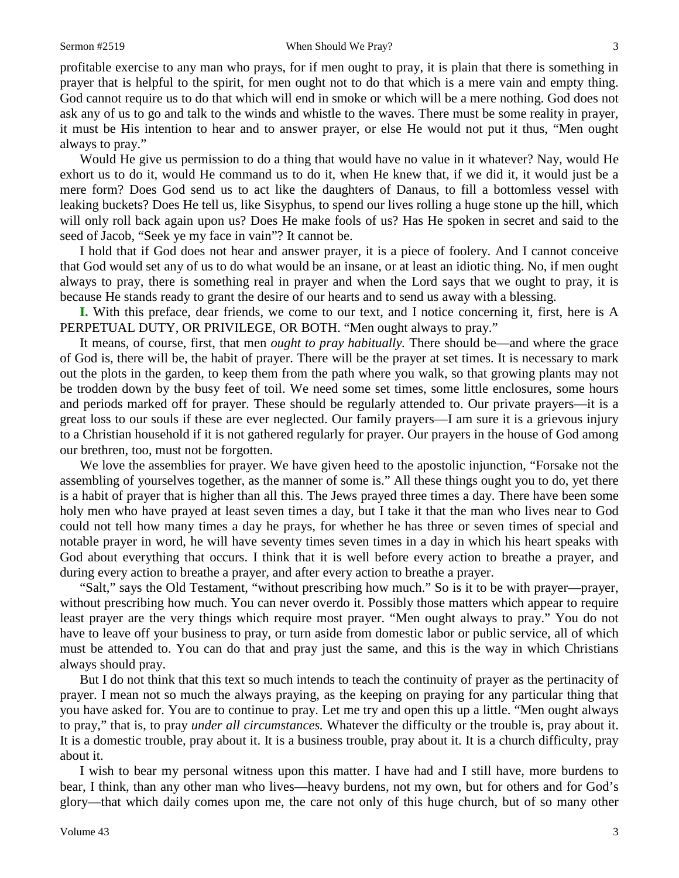profitable exercise to any man who prays, for if men ought to pray, it is plain that there is something in prayer that is helpful to the spirit, for men ought not to do that which is a mere vain and empty thing. God cannot require us to do that which will end in smoke or which will be a mere nothing. God does not ask any of us to go and talk to the winds and whistle to the waves. There must be some reality in prayer, it must be His intention to hear and to answer prayer, or else He would not put it thus, "Men ought always to pray."

Would He give us permission to do a thing that would have no value in it whatever? Nay, would He exhort us to do it, would He command us to do it, when He knew that, if we did it, it would just be a mere form? Does God send us to act like the daughters of Danaus, to fill a bottomless vessel with leaking buckets? Does He tell us, like Sisyphus, to spend our lives rolling a huge stone up the hill, which will only roll back again upon us? Does He make fools of us? Has He spoken in secret and said to the seed of Jacob, "Seek ye my face in vain"? It cannot be.

I hold that if God does not hear and answer prayer, it is a piece of foolery. And I cannot conceive that God would set any of us to do what would be an insane, or at least an idiotic thing. No, if men ought always to pray, there is something real in prayer and when the Lord says that we ought to pray, it is because He stands ready to grant the desire of our hearts and to send us away with a blessing.

**I.** With this preface, dear friends, we come to our text, and I notice concerning it, first, here is A PERPETUAL DUTY, OR PRIVILEGE, OR BOTH. "Men ought always to pray."

It means, of course, first, that men *ought to pray habitually.* There should be—and where the grace of God is, there will be, the habit of prayer. There will be the prayer at set times. It is necessary to mark out the plots in the garden, to keep them from the path where you walk, so that growing plants may not be trodden down by the busy feet of toil. We need some set times, some little enclosures, some hours and periods marked off for prayer. These should be regularly attended to. Our private prayers—it is a great loss to our souls if these are ever neglected. Our family prayers—I am sure it is a grievous injury to a Christian household if it is not gathered regularly for prayer. Our prayers in the house of God among our brethren, too, must not be forgotten.

We love the assemblies for prayer. We have given heed to the apostolic injunction, "Forsake not the assembling of yourselves together, as the manner of some is." All these things ought you to do, yet there is a habit of prayer that is higher than all this. The Jews prayed three times a day. There have been some holy men who have prayed at least seven times a day, but I take it that the man who lives near to God could not tell how many times a day he prays, for whether he has three or seven times of special and notable prayer in word, he will have seventy times seven times in a day in which his heart speaks with God about everything that occurs. I think that it is well before every action to breathe a prayer, and during every action to breathe a prayer, and after every action to breathe a prayer.

"Salt," says the Old Testament, "without prescribing how much." So is it to be with prayer—prayer, without prescribing how much. You can never overdo it. Possibly those matters which appear to require least prayer are the very things which require most prayer. "Men ought always to pray." You do not have to leave off your business to pray, or turn aside from domestic labor or public service, all of which must be attended to. You can do that and pray just the same, and this is the way in which Christians always should pray.

But I do not think that this text so much intends to teach the continuity of prayer as the pertinacity of prayer. I mean not so much the always praying, as the keeping on praying for any particular thing that you have asked for. You are to continue to pray. Let me try and open this up a little. "Men ought always to pray," that is, to pray *under all circumstances.* Whatever the difficulty or the trouble is, pray about it. It is a domestic trouble, pray about it. It is a business trouble, pray about it. It is a church difficulty, pray about it.

I wish to bear my personal witness upon this matter. I have had and I still have, more burdens to bear, I think, than any other man who lives—heavy burdens, not my own, but for others and for God's glory—that which daily comes upon me, the care not only of this huge church, but of so many other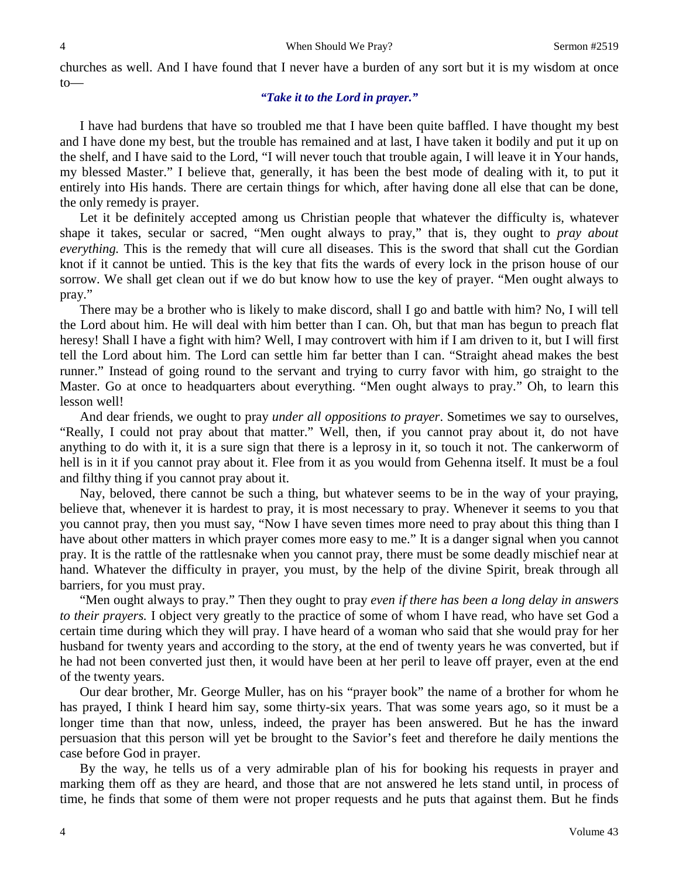churches as well. And I have found that I never have a burden of any sort but it is my wisdom at once to—

# *"Take it to the Lord in prayer."*

I have had burdens that have so troubled me that I have been quite baffled. I have thought my best and I have done my best, but the trouble has remained and at last, I have taken it bodily and put it up on the shelf, and I have said to the Lord, "I will never touch that trouble again, I will leave it in Your hands, my blessed Master." I believe that, generally, it has been the best mode of dealing with it, to put it entirely into His hands. There are certain things for which, after having done all else that can be done, the only remedy is prayer.

Let it be definitely accepted among us Christian people that whatever the difficulty is, whatever shape it takes, secular or sacred, "Men ought always to pray," that is, they ought to *pray about everything.* This is the remedy that will cure all diseases. This is the sword that shall cut the Gordian knot if it cannot be untied. This is the key that fits the wards of every lock in the prison house of our sorrow. We shall get clean out if we do but know how to use the key of prayer. "Men ought always to pray."

There may be a brother who is likely to make discord, shall I go and battle with him? No, I will tell the Lord about him. He will deal with him better than I can. Oh, but that man has begun to preach flat heresy! Shall I have a fight with him? Well, I may controvert with him if I am driven to it, but I will first tell the Lord about him. The Lord can settle him far better than I can. "Straight ahead makes the best runner." Instead of going round to the servant and trying to curry favor with him, go straight to the Master. Go at once to headquarters about everything. "Men ought always to pray." Oh, to learn this lesson well!

And dear friends, we ought to pray *under all oppositions to prayer*. Sometimes we say to ourselves, "Really, I could not pray about that matter." Well, then, if you cannot pray about it, do not have anything to do with it, it is a sure sign that there is a leprosy in it, so touch it not. The cankerworm of hell is in it if you cannot pray about it. Flee from it as you would from Gehenna itself. It must be a foul and filthy thing if you cannot pray about it.

Nay, beloved, there cannot be such a thing, but whatever seems to be in the way of your praying, believe that, whenever it is hardest to pray, it is most necessary to pray. Whenever it seems to you that you cannot pray, then you must say, "Now I have seven times more need to pray about this thing than I have about other matters in which prayer comes more easy to me." It is a danger signal when you cannot pray. It is the rattle of the rattlesnake when you cannot pray, there must be some deadly mischief near at hand. Whatever the difficulty in prayer, you must, by the help of the divine Spirit, break through all barriers, for you must pray.

"Men ought always to pray." Then they ought to pray *even if there has been a long delay in answers to their prayers.* I object very greatly to the practice of some of whom I have read*,* who have set God a certain time during which they will pray. I have heard of a woman who said that she would pray for her husband for twenty years and according to the story, at the end of twenty years he was converted, but if he had not been converted just then, it would have been at her peril to leave off prayer, even at the end of the twenty years.

Our dear brother, Mr. George Muller, has on his "prayer book" the name of a brother for whom he has prayed, I think I heard him say, some thirty-six years. That was some years ago, so it must be a longer time than that now, unless, indeed, the prayer has been answered. But he has the inward persuasion that this person will yet be brought to the Savior's feet and therefore he daily mentions the case before God in prayer.

By the way, he tells us of a very admirable plan of his for booking his requests in prayer and marking them off as they are heard, and those that are not answered he lets stand until, in process of time, he finds that some of them were not proper requests and he puts that against them. But he finds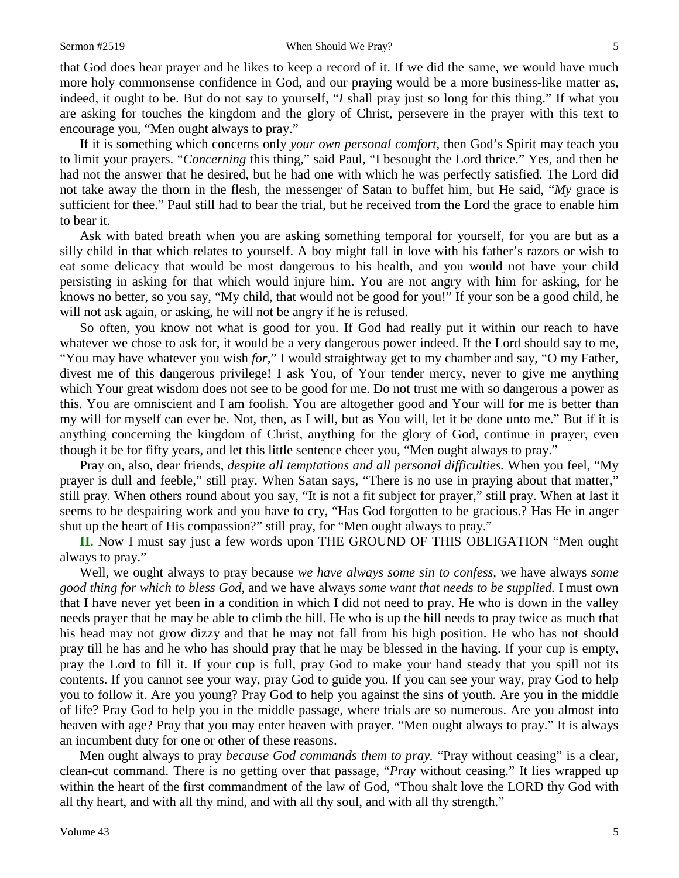that God does hear prayer and he likes to keep a record of it. If we did the same, we would have much more holy commonsense confidence in God, and our praying would be a more business-like matter as, indeed, it ought to be. But do not say to yourself, "*I* shall pray just so long for this thing." If what you are asking for touches the kingdom and the glory of Christ, persevere in the prayer with this text to encourage you, "Men ought always to pray."

If it is something which concerns only *your own personal comfort,* then God's Spirit may teach you to limit your prayers. "*Concerning* this thing," said Paul, "I besought the Lord thrice." Yes, and then he had not the answer that he desired, but he had one with which he was perfectly satisfied. The Lord did not take away the thorn in the flesh, the messenger of Satan to buffet him, but He said, "*My* grace is sufficient for thee." Paul still had to bear the trial, but he received from the Lord the grace to enable him to bear it.

Ask with bated breath when you are asking something temporal for yourself, for you are but as a silly child in that which relates to yourself. A boy might fall in love with his father's razors or wish to eat some delicacy that would be most dangerous to his health, and you would not have your child persisting in asking for that which would injure him. You are not angry with him for asking, for he knows no better, so you say, "My child, that would not be good for you!" If your son be a good child, he will not ask again, or asking, he will not be angry if he is refused.

So often, you know not what is good for you. If God had really put it within our reach to have whatever we chose to ask for, it would be a very dangerous power indeed. If the Lord should say to me, "You may have whatever you wish *for,*" I would straightway get to my chamber and say, "O my Father, divest me of this dangerous privilege! I ask You, of Your tender mercy, never to give me anything which Your great wisdom does not see to be good for me. Do not trust me with so dangerous a power as this. You are omniscient and I am foolish. You are altogether good and Your will for me is better than my will for myself can ever be. Not, then, as I will, but as You will, let it be done unto me." But if it is anything concerning the kingdom of Christ, anything for the glory of God, continue in prayer, even though it be for fifty years, and let this little sentence cheer you, "Men ought always to pray."

Pray on, also, dear friends, *despite all temptations and all personal difficulties.* When you feel, "My prayer is dull and feeble," still pray. When Satan says, "There is no use in praying about that matter," still pray. When others round about you say, "It is not a fit subject for prayer," still pray. When at last it seems to be despairing work and you have to cry, "Has God forgotten to be gracious.? Has He in anger shut up the heart of His compassion?" still pray, for "Men ought always to pray."

**II.** Now I must say just a few words upon THE GROUND OF THIS OBLIGATION "Men ought always to pray."

Well, we ought always to pray because *we have always some sin to confess,* we have always *some good thing for which to bless God*, and we have always *some want that needs to be supplied.* I must own that I have never yet been in a condition in which I did not need to pray. He who is down in the valley needs prayer that he may be able to climb the hill. He who is up the hill needs to pray twice as much that his head may not grow dizzy and that he may not fall from his high position. He who has not should pray till he has and he who has should pray that he may be blessed in the having. If your cup is empty, pray the Lord to fill it. If your cup is full, pray God to make your hand steady that you spill not its contents. If you cannot see your way, pray God to guide you. If you can see your way, pray God to help you to follow it. Are you young? Pray God to help you against the sins of youth. Are you in the middle of life? Pray God to help you in the middle passage, where trials are so numerous. Are you almost into heaven with age? Pray that you may enter heaven with prayer. "Men ought always to pray." It is always an incumbent duty for one or other of these reasons.

Men ought always to pray *because God commands them to pray.* "Pray without ceasing" is a clear, clean-cut command. There is no getting over that passage, "*Pray* without ceasing." It lies wrapped up within the heart of the first commandment of the law of God, "Thou shalt love the LORD thy God with all thy heart, and with all thy mind, and with all thy soul, and with all thy strength."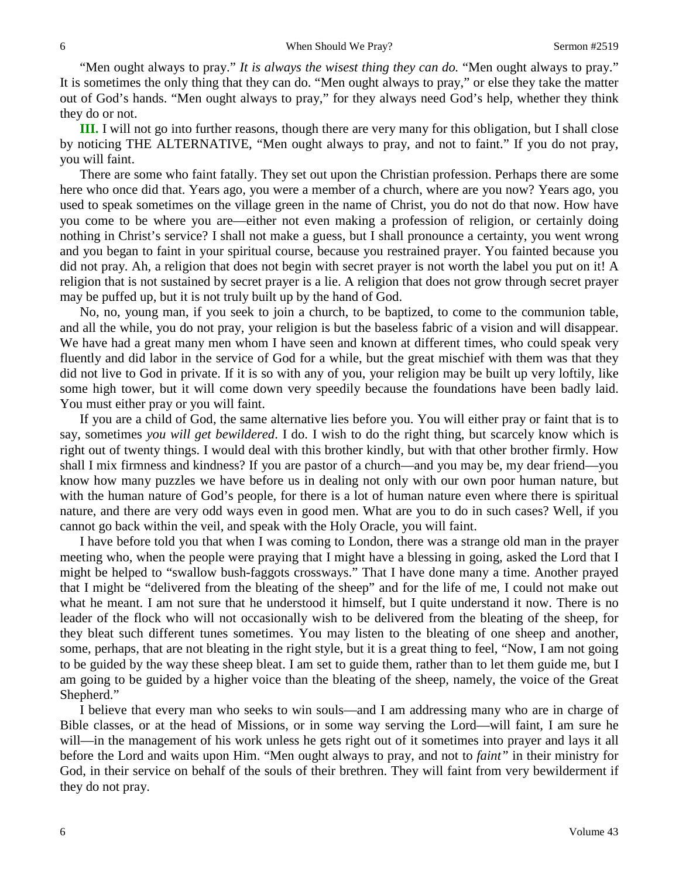"Men ought always to pray." *It is always the wisest thing they can do.* "Men ought always to pray." It is sometimes the only thing that they can do. "Men ought always to pray," or else they take the matter out of God's hands. "Men ought always to pray," for they always need God's help, whether they think they do or not.

**III.** I will not go into further reasons, though there are very many for this obligation, but I shall close by noticing THE ALTERNATIVE, "Men ought always to pray, and not to faint." If you do not pray, you will faint.

There are some who faint fatally. They set out upon the Christian profession. Perhaps there are some here who once did that. Years ago, you were a member of a church, where are you now? Years ago, you used to speak sometimes on the village green in the name of Christ, you do not do that now. How have you come to be where you are—either not even making a profession of religion, or certainly doing nothing in Christ's service? I shall not make a guess, but I shall pronounce a certainty, you went wrong and you began to faint in your spiritual course, because you restrained prayer. You fainted because you did not pray. Ah, a religion that does not begin with secret prayer is not worth the label you put on it! A religion that is not sustained by secret prayer is a lie. A religion that does not grow through secret prayer may be puffed up, but it is not truly built up by the hand of God.

No, no, young man, if you seek to join a church, to be baptized, to come to the communion table, and all the while, you do not pray, your religion is but the baseless fabric of a vision and will disappear. We have had a great many men whom I have seen and known at different times, who could speak very fluently and did labor in the service of God for a while, but the great mischief with them was that they did not live to God in private. If it is so with any of you, your religion may be built up very loftily, like some high tower, but it will come down very speedily because the foundations have been badly laid. You must either pray or you will faint.

If you are a child of God, the same alternative lies before you. You will either pray or faint that is to say, sometimes *you will get bewildered*. I do. I wish to do the right thing, but scarcely know which is right out of twenty things. I would deal with this brother kindly, but with that other brother firmly. How shall I mix firmness and kindness? If you are pastor of a church—and you may be, my dear friend—you know how many puzzles we have before us in dealing not only with our own poor human nature, but with the human nature of God's people, for there is a lot of human nature even where there is spiritual nature, and there are very odd ways even in good men. What are you to do in such cases? Well, if you cannot go back within the veil, and speak with the Holy Oracle, you will faint.

I have before told you that when I was coming to London, there was a strange old man in the prayer meeting who, when the people were praying that I might have a blessing in going, asked the Lord that I might be helped to "swallow bush-faggots crossways." That I have done many a time. Another prayed that I might be "delivered from the bleating of the sheep" and for the life of me, I could not make out what he meant. I am not sure that he understood it himself, but I quite understand it now. There is no leader of the flock who will not occasionally wish to be delivered from the bleating of the sheep, for they bleat such different tunes sometimes. You may listen to the bleating of one sheep and another, some, perhaps, that are not bleating in the right style, but it is a great thing to feel, "Now, I am not going to be guided by the way these sheep bleat. I am set to guide them, rather than to let them guide me, but I am going to be guided by a higher voice than the bleating of the sheep, namely, the voice of the Great Shepherd."

I believe that every man who seeks to win souls—and I am addressing many who are in charge of Bible classes, or at the head of Missions, or in some way serving the Lord—will faint, I am sure he will—in the management of his work unless he gets right out of it sometimes into prayer and lays it all before the Lord and waits upon Him. "Men ought always to pray, and not to *faint"* in their ministry for God, in their service on behalf of the souls of their brethren. They will faint from very bewilderment if they do not pray.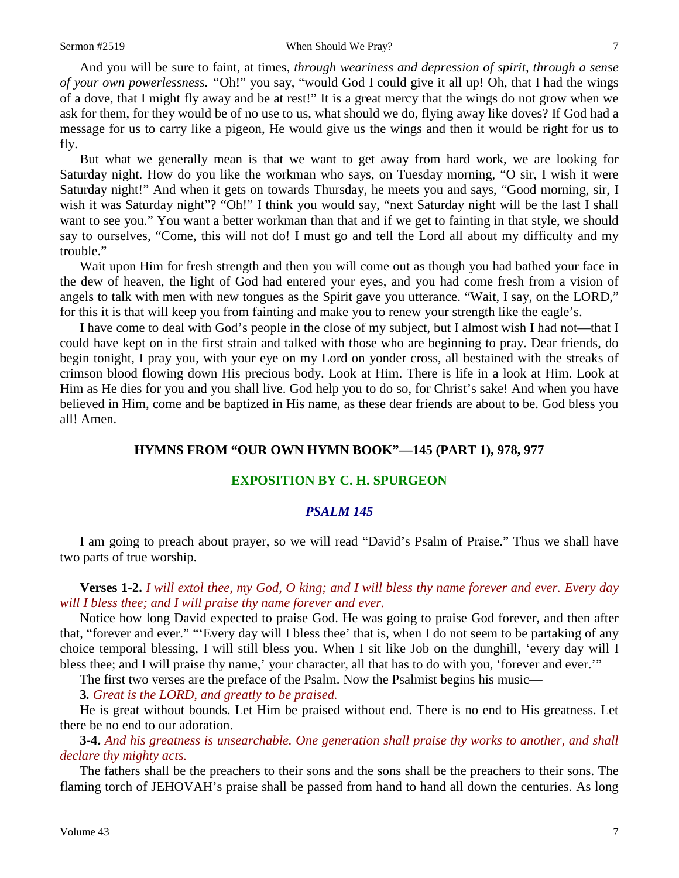And you will be sure to faint, at times, *through weariness and depression of spirit, through a sense of your own powerlessness. "*Oh!" you say, "would God I could give it all up! Oh, that I had the wings of a dove, that I might fly away and be at rest!" It is a great mercy that the wings do not grow when we ask for them, for they would be of no use to us, what should we do, flying away like doves? If God had a message for us to carry like a pigeon, He would give us the wings and then it would be right for us to fly.

But what we generally mean is that we want to get away from hard work, we are looking for Saturday night. How do you like the workman who says, on Tuesday morning, "O sir, I wish it were Saturday night!" And when it gets on towards Thursday, he meets you and says, "Good morning, sir, I wish it was Saturday night"? "Oh!" I think you would say, "next Saturday night will be the last I shall want to see you." You want a better workman than that and if we get to fainting in that style, we should say to ourselves, "Come, this will not do! I must go and tell the Lord all about my difficulty and my trouble."

Wait upon Him for fresh strength and then you will come out as though you had bathed your face in the dew of heaven, the light of God had entered your eyes, and you had come fresh from a vision of angels to talk with men with new tongues as the Spirit gave you utterance. "Wait, I say, on the LORD," for this it is that will keep you from fainting and make you to renew your strength like the eagle's.

I have come to deal with God's people in the close of my subject, but I almost wish I had not—that I could have kept on in the first strain and talked with those who are beginning to pray. Dear friends, do begin tonight, I pray you, with your eye on my Lord on yonder cross, all bestained with the streaks of crimson blood flowing down His precious body. Look at Him. There is life in a look at Him. Look at Him as He dies for you and you shall live. God help you to do so, for Christ's sake! And when you have believed in Him, come and be baptized in His name, as these dear friends are about to be. God bless you all! Amen.

### **HYMNS FROM "OUR OWN HYMN BOOK"—145 (PART 1), 978, 977**

#### **EXPOSITION BY C. H. SPURGEON**

#### *PSALM 145*

I am going to preach about prayer, so we will read "David's Psalm of Praise." Thus we shall have two parts of true worship.

**Verses 1-2.** *I will extol thee, my God, O king; and I will bless thy name forever and ever. Every day will I bless thee; and I will praise thy name forever and ever.*

Notice how long David expected to praise God. He was going to praise God forever, and then after that, "forever and ever." "'Every day will I bless thee' that is, when I do not seem to be partaking of any choice temporal blessing, I will still bless you. When I sit like Job on the dunghill, 'every day will I bless thee; and I will praise thy name,' your character, all that has to do with you, 'forever and ever.'"

The first two verses are the preface of the Psalm. Now the Psalmist begins his music—

**3***. Great is the LORD, and greatly to be praised.*

He is great without bounds. Let Him be praised without end. There is no end to His greatness. Let there be no end to our adoration.

**3-4.** *And his greatness is unsearchable. One generation shall praise thy works to another, and shall declare thy mighty acts.*

The fathers shall be the preachers to their sons and the sons shall be the preachers to their sons. The flaming torch of JEHOVAH's praise shall be passed from hand to hand all down the centuries. As long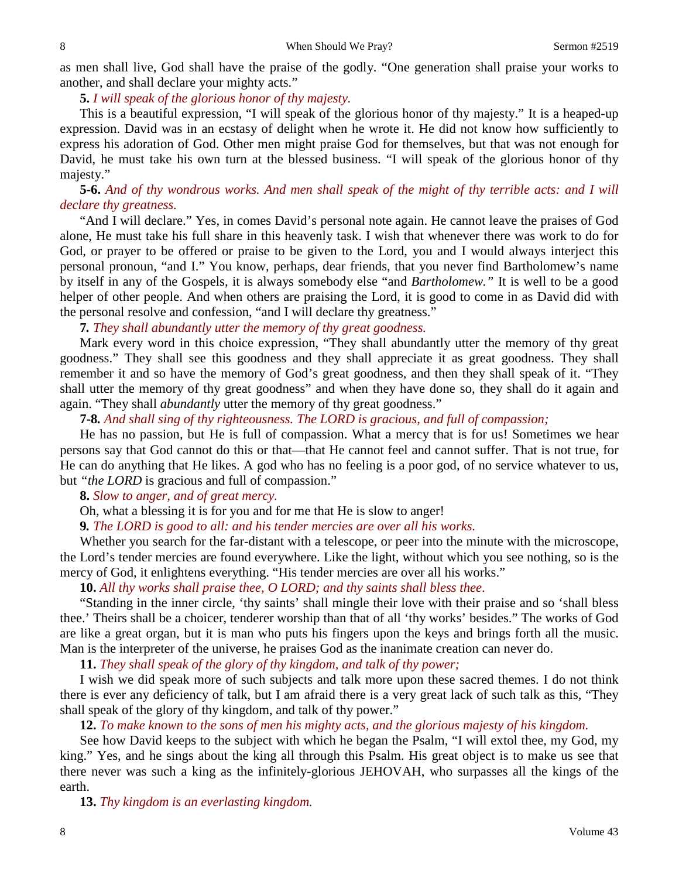as men shall live, God shall have the praise of the godly. "One generation shall praise your works to another, and shall declare your mighty acts."

**5.** *I will speak of the glorious honor of thy majesty.*

This is a beautiful expression, "I will speak of the glorious honor of thy majesty." It is a heaped-up expression. David was in an ecstasy of delight when he wrote it. He did not know how sufficiently to express his adoration of God. Other men might praise God for themselves, but that was not enough for David, he must take his own turn at the blessed business. "I will speak of the glorious honor of thy majesty."

**5-6.** *And of thy wondrous works. And men shall speak of the might of thy terrible acts: and I will declare thy greatness.*

"And I will declare." Yes, in comes David's personal note again. He cannot leave the praises of God alone, He must take his full share in this heavenly task. I wish that whenever there was work to do for God, or prayer to be offered or praise to be given to the Lord, you and I would always interject this personal pronoun, "and I." You know, perhaps, dear friends, that you never find Bartholomew's name by itself in any of the Gospels, it is always somebody else "and *Bartholomew."* It is well to be a good helper of other people. And when others are praising the Lord, it is good to come in as David did with the personal resolve and confession, "and I will declare thy greatness."

**7***. They shall abundantly utter the memory of thy great goodness.*

Mark every word in this choice expression, "They shall abundantly utter the memory of thy great goodness." They shall see this goodness and they shall appreciate it as great goodness. They shall remember it and so have the memory of God's great goodness, and then they shall speak of it. "They shall utter the memory of thy great goodness" and when they have done so, they shall do it again and again. "They shall *abundantly* utter the memory of thy great goodness."

**7-8***. And shall sing of thy righteousness. The LORD is gracious, and full of compassion;*

He has no passion, but He is full of compassion. What a mercy that is for us! Sometimes we hear persons say that God cannot do this or that—that He cannot feel and cannot suffer. That is not true, for He can do anything that He likes. A god who has no feeling is a poor god, of no service whatever to us, but *"the LORD* is gracious and full of compassion."

**8.** *Slow to anger, and of great mercy.*

Oh, what a blessing it is for you and for me that He is slow to anger!

**9***. The LORD is good to all: and his tender mercies are over all his works.*

Whether you search for the far-distant with a telescope, or peer into the minute with the microscope, the Lord's tender mercies are found everywhere. Like the light, without which you see nothing, so is the mercy of God, it enlightens everything. "His tender mercies are over all his works."

**10.** *All thy works shall praise thee, O LORD; and thy saints shall bless thee*.

"Standing in the inner circle, 'thy saints' shall mingle their love with their praise and so 'shall bless thee.' Theirs shall be a choicer, tenderer worship than that of all 'thy works' besides." The works of God are like a great organ, but it is man who puts his fingers upon the keys and brings forth all the music. Man is the interpreter of the universe, he praises God as the inanimate creation can never do.

**11.** *They shall speak of the glory of thy kingdom, and talk of thy power;*

I wish we did speak more of such subjects and talk more upon these sacred themes. I do not think there is ever any deficiency of talk, but I am afraid there is a very great lack of such talk as this, "They shall speak of the glory of thy kingdom, and talk of thy power."

**12.** *To make known to the sons of men his mighty acts, and the glorious majesty of his kingdom.*

See how David keeps to the subject with which he began the Psalm, "I will extol thee, my God, my king." Yes, and he sings about the king all through this Psalm. His great object is to make us see that there never was such a king as the infinitely-glorious JEHOVAH, who surpasses all the kings of the earth.

**13.** *Thy kingdom is an everlasting kingdom.*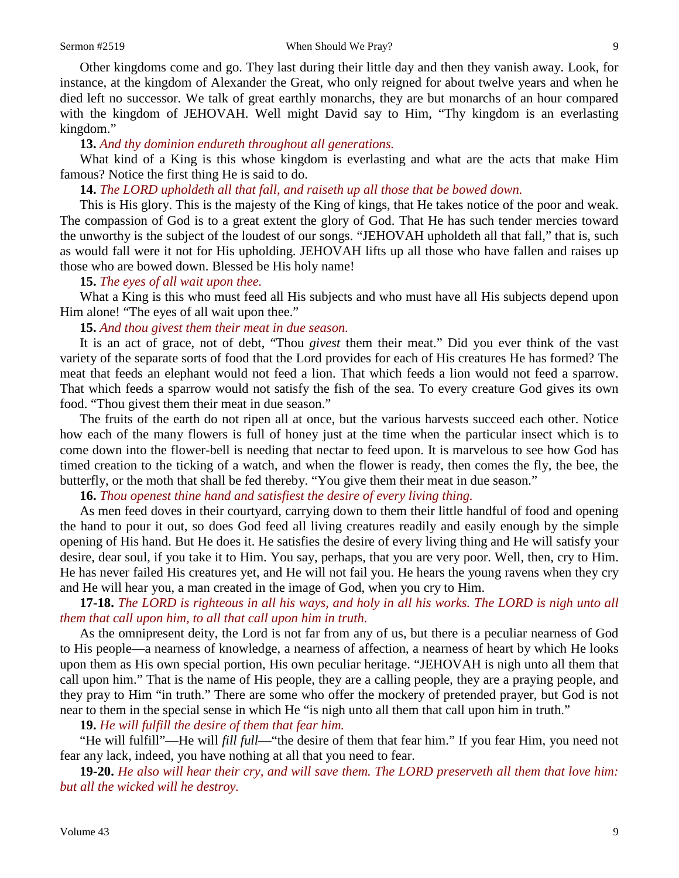Other kingdoms come and go. They last during their little day and then they vanish away. Look, for instance, at the kingdom of Alexander the Great, who only reigned for about twelve years and when he died left no successor. We talk of great earthly monarchs, they are but monarchs of an hour compared with the kingdom of JEHOVAH. Well might David say to Him, "Thy kingdom is an everlasting kingdom."

#### **13.** *And thy dominion endureth throughout all generations.*

What kind of a King is this whose kingdom is everlasting and what are the acts that make Him famous? Notice the first thing He is said to do.

**14.** *The LORD upholdeth all that fall, and raiseth up all those that be bowed down.*

This is His glory. This is the majesty of the King of kings, that He takes notice of the poor and weak. The compassion of God is to a great extent the glory of God. That He has such tender mercies toward the unworthy is the subject of the loudest of our songs. "JEHOVAH upholdeth all that fall," that is, such as would fall were it not for His upholding. JEHOVAH lifts up all those who have fallen and raises up those who are bowed down. Blessed be His holy name!

#### **15.** *The eyes of all wait upon thee.*

What a King is this who must feed all His subjects and who must have all His subjects depend upon Him alone! "The eyes of all wait upon thee."

#### **15.** *And thou givest them their meat in due season.*

It is an act of grace, not of debt, "Thou *givest* them their meat." Did you ever think of the vast variety of the separate sorts of food that the Lord provides for each of His creatures He has formed? The meat that feeds an elephant would not feed a lion. That which feeds a lion would not feed a sparrow. That which feeds a sparrow would not satisfy the fish of the sea. To every creature God gives its own food. "Thou givest them their meat in due season."

The fruits of the earth do not ripen all at once, but the various harvests succeed each other. Notice how each of the many flowers is full of honey just at the time when the particular insect which is to come down into the flower-bell is needing that nectar to feed upon. It is marvelous to see how God has timed creation to the ticking of a watch, and when the flower is ready, then comes the fly, the bee, the butterfly, or the moth that shall be fed thereby. "You give them their meat in due season."

**16.** *Thou openest thine hand and satisfiest the desire of every living thing.*

As men feed doves in their courtyard, carrying down to them their little handful of food and opening the hand to pour it out, so does God feed all living creatures readily and easily enough by the simple opening of His hand. But He does it. He satisfies the desire of every living thing and He will satisfy your desire, dear soul, if you take it to Him. You say, perhaps, that you are very poor. Well, then, cry to Him. He has never failed His creatures yet, and He will not fail you. He hears the young ravens when they cry and He will hear you, a man created in the image of God, when you cry to Him.

**17-18.** *The LORD is righteous in all his ways, and holy in all his works. The LORD is nigh unto all them that call upon him, to all that call upon him in truth.*

As the omnipresent deity, the Lord is not far from any of us, but there is a peculiar nearness of God to His people—a nearness of knowledge, a nearness of affection, a nearness of heart by which He looks upon them as His own special portion, His own peculiar heritage. "JEHOVAH is nigh unto all them that call upon him." That is the name of His people, they are a calling people, they are a praying people, and they pray to Him "in truth." There are some who offer the mockery of pretended prayer, but God is not near to them in the special sense in which He "is nigh unto all them that call upon him in truth."

**19.** *He will fulfill the desire of them that fear him.*

"He will fulfill"—He will *fill full*—"the desire of them that fear him." If you fear Him, you need not fear any lack, indeed, you have nothing at all that you need to fear.

**19-20.** *He also will hear their cry, and will save them. The LORD preserveth all them that love him: but all the wicked will he destroy.*